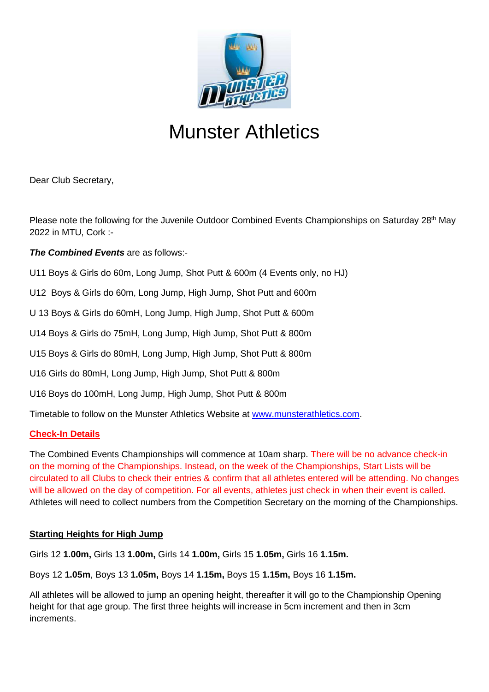

# Munster Athletics

Dear Club Secretary,

Please note the following for the Juvenile Outdoor Combined Events Championships on Saturday 28<sup>th</sup> May 2022 in MTU, Cork :-

## *The Combined Events* are as follows:-

U11 Boys & Girls do 60m, Long Jump, Shot Putt & 600m (4 Events only, no HJ)

U12 Boys & Girls do 60m, Long Jump, High Jump, Shot Putt and 600m

U 13 Boys & Girls do 60mH, Long Jump, High Jump, Shot Putt & 600m

U14 Boys & Girls do 75mH, Long Jump, High Jump, Shot Putt & 800m

U15 Boys & Girls do 80mH, Long Jump, High Jump, Shot Putt & 800m

U16 Girls do 80mH, Long Jump, High Jump, Shot Putt & 800m

U16 Boys do 100mH, Long Jump, High Jump, Shot Putt & 800m

Timetable to follow on the Munster Athletics Website at [www.munsterathletics.com.](http://www.munsterathletics.com/)

## **Check-In Details**

The Combined Events Championships will commence at 10am sharp. There will be no advance check-in on the morning of the Championships. Instead, on the week of the Championships, Start Lists will be circulated to all Clubs to check their entries & confirm that all athletes entered will be attending. No changes will be allowed on the day of competition. For all events, athletes just check in when their event is called. Athletes will need to collect numbers from the Competition Secretary on the morning of the Championships.

## **Starting Heights for High Jump**

Girls 12 **1.00m,** Girls 13 **1.00m,** Girls 14 **1.00m,** Girls 15 **1.05m,** Girls 16 **1.15m.** 

Boys 12 **1.05m**, Boys 13 **1.05m,** Boys 14 **1.15m,** Boys 15 **1.15m,** Boys 16 **1.15m.**

All athletes will be allowed to jump an opening height, thereafter it will go to the Championship Opening height for that age group. The first three heights will increase in 5cm increment and then in 3cm increments.